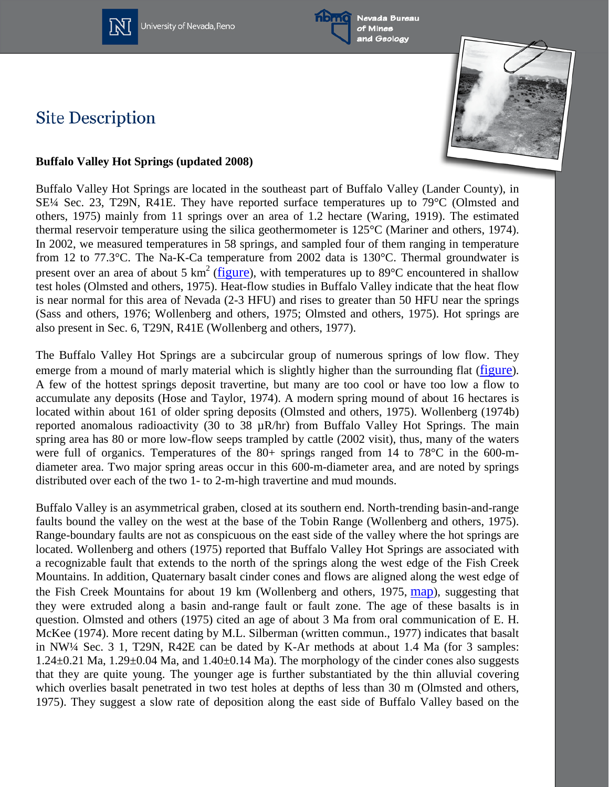

University of Nevada, Reno



**Site Description** 



## **Buffalo Valley Hot Springs (updated 2008)**

Buffalo Valley Hot Springs are located in the southeast part of Buffalo Valley (Lander County), in SE¼ Sec. 23, T29N, R41E. They have reported surface temperatures up to 79°C (Olmsted and others, 1975) mainly from 11 springs over an area of 1.2 hectare (Waring, 1919). The estimated thermal reservoir temperature using the silica geothermometer is 125°C (Mariner and others, 1974). In 2002, we measured temperatures in 58 springs, and sampled four of them ranging in temperature from 12 to 77.3°C. The Na-K-Ca temperature from 2002 data is 130°C. Thermal groundwater is present over an area of about 5  $km^2$  [\(figure\)](http://www.nbmg.unr.edu/Geothermal/figures/fig31.pdf), with temperatures up to 89 $\degree$ C encountered in shallow test holes (Olmsted and others, 1975). Heat-flow studies in Buffalo Valley indicate that the heat flow is near normal for this area of Nevada (2-3 HFU) and rises to greater than 50 HFU near the springs (Sass and others, 1976; Wollenberg and others, 1975; Olmsted and others, 1975). Hot springs are also present in Sec. 6, T29N, R41E (Wollenberg and others, 1977).

The Buffalo Valley Hot Springs are a subcircular group of numerous springs of low flow. They emerge from a mound of marly material which is slightly higher than the surrounding flat [\(figure\)](http://www.nbmg.unr.edu/Geothermal/figures/fig32.pdf). A few of the hottest springs deposit travertine, but many are too cool or have too low a flow to accumulate any deposits (Hose and Taylor, 1974). A modern spring mound of about 16 hectares is located within about 161 of older spring deposits (Olmsted and others, 1975). Wollenberg (1974b) reported anomalous radioactivity (30 to 38  $\mu$ R/hr) from Buffalo Valley Hot Springs. The main spring area has 80 or more low-flow seeps trampled by cattle (2002 visit), thus, many of the waters were full of organics. Temperatures of the 80+ springs ranged from 14 to 78°C in the 600-mdiameter area. Two major spring areas occur in this 600-m-diameter area, and are noted by springs distributed over each of the two 1- to 2-m-high travertine and mud mounds.

Buffalo Valley is an asymmetrical graben, closed at its southern end. North-trending basin-and-range faults bound the valley on the west at the base of the Tobin Range (Wollenberg and others, 1975). Range-boundary faults are not as conspicuous on the east side of the valley where the hot springs are located. Wollenberg and others (1975) reported that Buffalo Valley Hot Springs are associated with a recognizable fault that extends to the north of the springs along the west edge of the Fish Creek Mountains. In addition, Quaternary basalt cinder cones and flows are aligned along the west edge of the Fish Creek Mountains for about 19 km (Wollenberg and others, 1975, [map\)](http://www.nbmg.unr.edu/Geothermal/figs/fig7.pdf), suggesting that they were extruded along a basin and-range fault or fault zone. The age of these basalts is in question. Olmsted and others (1975) cited an age of about 3 Ma from oral communication of E. H. McKee (1974). More recent dating by M.L. Silberman (written commun., 1977) indicates that basalt in NW¼ Sec. 3 1, T29N, R42E can be dated by K-Ar methods at about 1.4 Ma (for 3 samples:  $1.24\pm0.21$  Ma,  $1.29\pm0.04$  Ma, and  $1.40\pm0.14$  Ma). The morphology of the cinder cones also suggests that they are quite young. The younger age is further substantiated by the thin alluvial covering which overlies basalt penetrated in two test holes at depths of less than 30 m (Olmsted and others, 1975). They suggest a slow rate of deposition along the east side of Buffalo Valley based on the